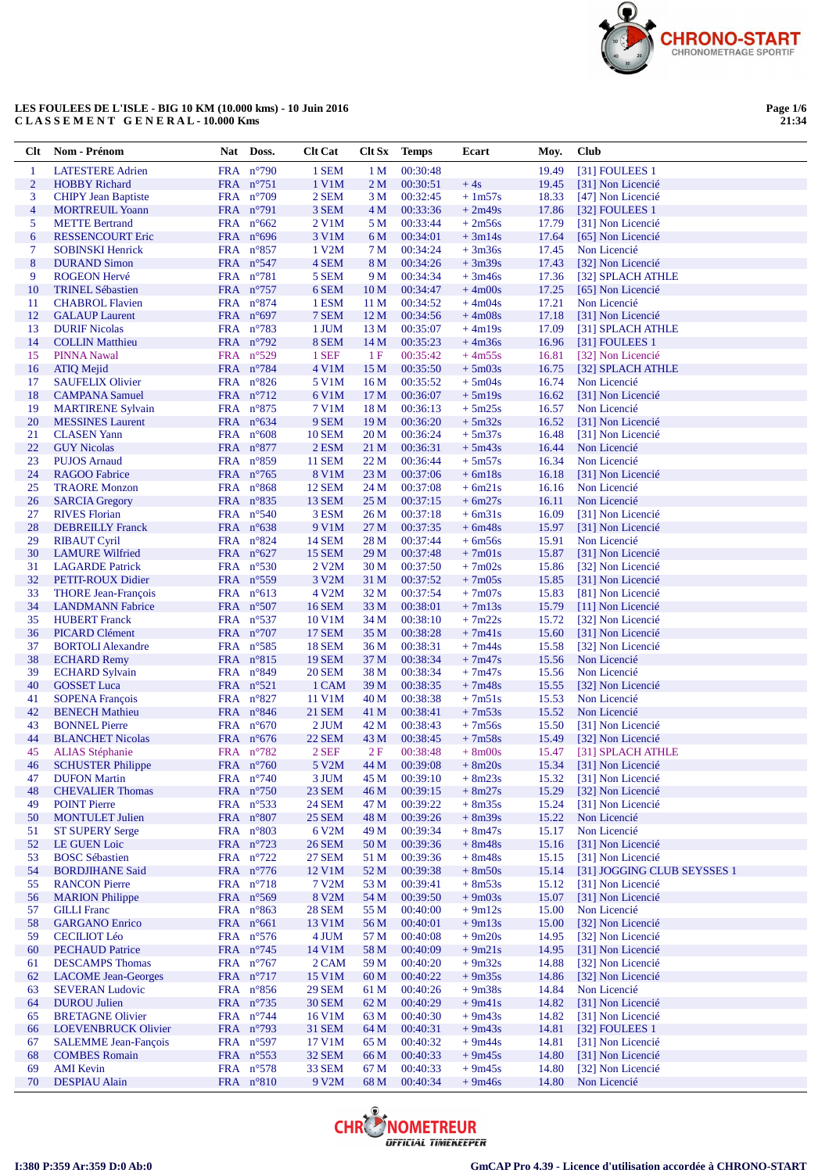

**Page 1/6 21:34**

| <b>Clt</b>       | Nom - Prénom                                    | Nat Doss.              | <b>Clt Cat</b>     |                 | Clt Sx Temps         | Ecart                | Moy.           | Club                                   |
|------------------|-------------------------------------------------|------------------------|--------------------|-----------------|----------------------|----------------------|----------------|----------------------------------------|
| -1               | <b>LATESTERE Adrien</b>                         | FRA n°790              | 1 SEM              | 1 <sub>M</sub>  | 00:30:48             |                      | 19.49          | [31] FOULEES 1                         |
| $\overline{c}$   | <b>HOBBY Richard</b>                            | FRA n°751              | 1 V1M              | 2 <sub>M</sub>  | 00:30:51             | $+4s$                | 19.45          | [31] Non Licencié                      |
| 3                | <b>CHIPY Jean Baptiste</b>                      | FRA $n^{\circ}709$     | 2 SEM              | 3 M             | 00:32:45             | $+1m57s$             | 18.33          | [47] Non Licencié                      |
| 4                | <b>MORTREUIL Yoann</b>                          | FRA $n^{\circ}$ 791    | 3 SEM              | 4 M             | 00:33:36             | $+2m49s$             | 17.86          | [32] FOULEES 1                         |
| 5                | <b>METTE Bertrand</b>                           | FRA $n^{\circ}662$     | 2 V1M              | 5 M             | 00:33:44             | $+2m56s$             | 17.79          | [31] Non Licencié                      |
| 6                | <b>RESSENCOURT Eric</b>                         | FRA $n^{\circ}696$     | 3 V1M              | 6 M             | 00:34:01             | $+3m14s$             | 17.64          | [65] Non Licencié                      |
| 7                | <b>SOBINSKI Henrick</b>                         | FRA $n^{\circ}857$     | 1 V2M              | 7 M             | 00:34:24             | $+3m36s$             | 17.45          | Non Licencié                           |
| $\boldsymbol{8}$ | <b>DURAND Simon</b>                             | FRA $n^{\circ}547$     | 4 SEM              | 8 M             | 00:34:26             | $+3m39s$             | 17.43          | [32] Non Licencié                      |
| 9                | <b>ROGEON Hervé</b>                             | FRA $n^{\circ}781$     | 5 SEM              | 9 M             | 00:34:34             | $+3m46s$             | 17.36          | [32] SPLACH ATHLE                      |
| 10               | <b>TRINEL Sébastien</b>                         | FRA n°757              | 6 SEM              | 10 <sub>M</sub> | 00:34:47             | $+4m00s$             | 17.25          | [65] Non Licencié                      |
| 11               | <b>CHABROL Flavien</b>                          | FRA $n^{\circ}874$     | 1 ESM              | 11 M            | 00:34:52             | $+4m04s$             | 17.21          | Non Licencié                           |
| 12               | <b>GALAUP Laurent</b>                           | FRA $n^{\circ}697$     | 7 SEM              | 12 <sub>M</sub> | 00:34:56             | $+4m08s$             | 17.18          | [31] Non Licencié                      |
| 13               | <b>DURIF Nicolas</b>                            | FRA $n^{\circ}783$     | 1 JUM              | 13 M            | 00:35:07             | $+4m19s$             | 17.09          | [31] SPLACH ATHLE                      |
| 14               | <b>COLLIN Matthieu</b>                          | FRA n°792              | 8 SEM              | 14 <sub>M</sub> | 00:35:23             | $+4m36s$             | 16.96          | [31] FOULEES 1                         |
| 15               | <b>PINNA Nawal</b>                              | FRA $n^{\circ}529$     | 1 SEF              | 1F              | 00:35:42             | $+4m55s$             | 16.81          | [32] Non Licencié                      |
| 16               | <b>ATIQ Mejid</b>                               | FRA n°784              | 4 V1M              | 15 M            | 00:35:50             | $+5m03s$             | 16.75          | [32] SPLACH ATHLE                      |
| 17               | <b>SAUFELIX Olivier</b>                         | FRA n°826              | 5 V1M              | 16 M            | 00:35:52             | $+5m04s$             | 16.74          | Non Licencié                           |
| 18               | <b>CAMPANA</b> Samuel                           | FRA n°712              | 6 V1M              | 17 <sub>M</sub> | 00:36:07             | $+5m19s$             | 16.62          | [31] Non Licencié                      |
| 19               | <b>MARTIRENE Sylvain</b>                        | FRA $n^{\circ}875$     | 7 V1M              | 18 M            | 00:36:13             | $+5m25s$             | 16.57          | Non Licencié                           |
| 20               | <b>MESSINES</b> Laurent                         | FRA $n^{\circ}634$     | 9 SEM              | 19 <sub>M</sub> | 00:36:20             | $+5m32s$             | 16.52          | [31] Non Licencié                      |
| 21               | <b>CLASEN</b> Yann                              | FRA $n^{\circ}608$     | <b>10 SEM</b>      | 20 <sub>M</sub> | 00:36:24             | $+5m37s$             | 16.48          | [31] Non Licencié                      |
| 22               | <b>GUY</b> Nicolas                              | FRA $n^{\circ}877$     | 2 ESM              | 21 M            | 00:36:31             | $+5m43s$             | 16.44          | Non Licencié                           |
| 23               | <b>PUJOS Arnaud</b>                             | FRA n°859              | <b>11 SEM</b>      | 22 M            | 00:36:44             | $+5m57s$             | 16.34          | Non Licencié                           |
| 24               | <b>RAGOO Fabrice</b>                            | FRA n°765              | 8 V1M              | 23 M            | 00:37:06             | $+ 6m18s$            | 16.18          | [31] Non Licencié                      |
| 25               | <b>TRAORE Monzon</b>                            | FRA $n^{\circ}868$     | <b>12 SEM</b>      | 24 M            | 00:37:08             | $+ 6m21s$            | 16.16          | Non Licencié                           |
| 26               | <b>SARCIA Gregory</b>                           | FRA $n^{\circ}835$     | <b>13 SEM</b>      | 25 M            | 00:37:15             | $+6m27s$             | 16.11          | Non Licencié                           |
| 27               | <b>RIVES Florian</b>                            | FRA $n^{\circ}540$     | 3 ESM              | 26 M            | 00:37:18             | $+ 6m31s$            | 16.09          | [31] Non Licencié                      |
| 28               | <b>DEBREILLY</b> Franck                         | FRA $n^{\circ}638$     | 9 V1M              | 27 M            | 00:37:35             | $+6m48s$             | 15.97          | [31] Non Licencié                      |
| 29               | <b>RIBAUT Cyril</b>                             | FRA $n^{\circ}824$     | <b>14 SEM</b>      | 28 M            | 00:37:44             | $+6m56s$             | 15.91          | Non Licencié                           |
| 30               | <b>LAMURE Wilfried</b>                          | FRA $n^{\circ}627$     | <b>15 SEM</b>      | 29 M            | 00:37:48             | $+7m01s$             | 15.87          | [31] Non Licencié                      |
| 31               | <b>LAGARDE Patrick</b>                          | FRA $n^{\circ}530$     | 2 V <sub>2</sub> M | 30 M            | 00:37:50             | $+7m02s$             | 15.86          | [32] Non Licencié                      |
| 32               | PETIT-ROUX Didier                               | FRA $n^{\circ}559$     | 3 V <sub>2</sub> M | 31 M            | 00:37:52             | $+7m05s$             | 15.85          | [31] Non Licencié                      |
| 33               | <b>THORE</b> Jean-François                      | FRA $n^{\circ}613$     | 4 V2M              | 32 M            | 00:37:54             | $+7m07s$             | 15.83          | [81] Non Licencié                      |
| 34               | <b>LANDMANN</b> Fabrice                         | FRA $n^{\circ}507$     | <b>16 SEM</b>      | 33 M            | 00:38:01             | $+7m13s$             | 15.79          | [11] Non Licencié                      |
| 35               | <b>HUBERT Franck</b>                            | FRA $n^{\circ}537$     | 10 V1M             | 34 M            | 00:38:10             | $+7m22s$             | 15.72          | [32] Non Licencié                      |
| 36               | PICARD Clément                                  | FRA $n^{\circ}707$     | <b>17 SEM</b>      | 35 M            | 00:38:28             | $+7m41s$             | 15.60          | [31] Non Licencié                      |
| 37               | <b>BORTOLI Alexandre</b>                        | FRA $n^{\circ}585$     | <b>18 SEM</b>      | 36 M            | 00:38:31             | $+7m44s$             | 15.58          | [32] Non Licencié                      |
| 38               | <b>ECHARD Remy</b>                              | FRA $n^{\circ}815$     | <b>19 SEM</b>      | 37 M            | 00:38:34             | $+7m47s$             | 15.56          | Non Licencié                           |
| 39               | <b>ECHARD Sylvain</b>                           | FRA $n^{\circ}849$     | <b>20 SEM</b>      | 38 M            | 00:38:34             | $+7m47s$             | 15.56          | Non Licencié                           |
| 40               | <b>GOSSET Luca</b>                              | FRA $n^{\circ}521$     | 1 CAM              | 39 M            | 00:38:35             | $+7m48s$             | 15.55          | [32] Non Licencié                      |
| 41               | <b>SOPENA</b> François                          | FRA $n^{\circ}827$     | 11 V1M             | 40 M            | 00:38:38             | $+7m51s$             | 15.53          | Non Licencié                           |
| 42               | <b>BENECH Mathieu</b>                           | FRA $n^{\circ}846$     | <b>21 SEM</b>      | 41 M            | 00:38:41             | $+7m53s$             | 15.52          | Non Licencié                           |
| 43               | <b>BONNEL Pierre</b>                            | FRA $n^{\circ}670$     | 2 JUM              | 42 M            | 00:38:43             | $+7m56s$             | 15.50          | [31] Non Licencié                      |
| 44               | <b>BLANCHET Nicolas</b>                         | FRA $n^{\circ}676$     | <b>22 SEM</b>      | 43 M            | 00:38:45             | $+7m58s$             | 15.49          | [32] Non Licencié                      |
| 45               | <b>ALIAS</b> Stéphanie                          | FRA n°782              | 2 SEF              | 2F              | 00:38:48             | $+8m00s$             | 15.47          | [31] SPLACH ATHLE                      |
| 46               | <b>SCHUSTER Philippe</b>                        | FRA $n^{\circ}760$     | 5 V2M              | 44 M            | 00:39:08             | $+8m20s$             | 15.34          | [31] Non Licencié                      |
| 47               | <b>DUFON Martin</b>                             | FRA $n^{\circ}$ 740    | 3 JUM              | 45 M            | 00:39:10             | $+8m23s$             | 15.32          | [31] Non Licencié                      |
| 48               | <b>CHEVALIER Thomas</b>                         | FRA n°750              | <b>23 SEM</b>      | 46 M            | 00:39:15             | $+8m27s$             | 15.29          | [32] Non Licencié                      |
| 49               | <b>POINT Pierre</b>                             | FRA $n^{\circ}$ 533    | <b>24 SEM</b>      | 47 M            | 00:39:22             | $+8m35s$             | 15.24          | [31] Non Licencié                      |
| 50               | <b>MONTULET Julien</b>                          | FRA n°807              | <b>25 SEM</b>      | 48 M            | 00:39:26             | $+8m39s$             | 15.22          | Non Licencié                           |
| 51               | <b>ST SUPERY Serge</b>                          | FRA $n^{\circ}803$     | 6 V2M              | 49 M            | 00:39:34             | $+8m47s$             | 15.17          | Non Licencié                           |
| 52               | LE GUEN Loic                                    | FRA n°723              | <b>26 SEM</b>      | 50 M            | 00:39:36             | $+8m48s$             | 15.16          | [31] Non Licencié                      |
| 53               | <b>BOSC</b> Sébastien<br><b>BORDJIHANE Said</b> | FRA $n^{\circ}$ 722    | 27 SEM             | 51 M            | 00:39:36             | $+8m48s$             | 15.15          | [31] Non Licencié                      |
| 54               |                                                 | FRA $n^{\circ}776$     | 12 V1M             | 52 M            | 00:39:38             | $+8m50s$             | 15.14          | [31] JOGGING CLUB SEYSSES 1            |
| 55               | <b>RANCON Pierre</b><br><b>MARION</b> Philippe  | FRA n°718              | 7 V2M<br>8 V2M     | 53 M            | 00:39:41             | $+8m53s$             | 15.12          | [31] Non Licencié                      |
| 56               |                                                 | FRA n°569<br>FRA n°863 |                    | 54 M            | 00:39:50             | $+9m03s$             | 15.07          | [31] Non Licencié                      |
| 57               | <b>GILLI</b> Franc<br><b>GARGANO Enrico</b>     | FRA $n^{\circ}661$     | <b>28 SEM</b>      | 55 M            | 00:40:00             | $+9m12s$             | 15.00          | Non Licencié<br>[32] Non Licencié      |
| 58               | <b>CECILIOT Léo</b>                             | FRA $n^{\circ}576$     | 13 V1M<br>4 JUM    | 56 M            | 00:40:01<br>00:40:08 | $+9m13s$<br>$+9m20s$ | 15.00          | [32] Non Licencié                      |
| 59               | <b>PECHAUD Patrice</b>                          | FRA $n^{\circ}$ 745    |                    | 57 M            |                      |                      | 14.95          |                                        |
| 60<br>61         | <b>DESCAMPS Thomas</b>                          | FRA $n^{\circ}$ 767    | 14 V1M<br>2 CAM    | 58 M<br>59 M    | 00:40:09<br>00:40:20 | $+9m21s$<br>$+9m32s$ | 14.95<br>14.88 | [31] Non Licencié<br>[32] Non Licencié |
| 62               | <b>LACOME</b> Jean-Georges                      | FRA $n^{\circ}$ 717    | 15 V1M             | 60 M            | 00:40:22             | $+9m35s$             | 14.86          | [32] Non Licencié                      |
| 63               | <b>SEVERAN Ludovic</b>                          | FRA $n^{\circ}856$     | <b>29 SEM</b>      | 61 M            | 00:40:26             | $+9m38s$             | 14.84          | Non Licencié                           |
| 64               | <b>DUROU</b> Julien                             | FRA $n^{\circ}$ 735    | <b>30 SEM</b>      | 62 M            | 00:40:29             | $+9m41s$             | 14.82          | [31] Non Licencié                      |
| 65               | <b>BRETAGNE Olivier</b>                         | FRA $n^{\circ}$ 744    | 16 V1M             | 63 M            | 00:40:30             | $+9m43s$             | 14.82          | [31] Non Licencié                      |
| 66               | <b>LOEVENBRUCK Olivier</b>                      | FRA $n^{\circ}$ 793    | <b>31 SEM</b>      | 64 M            | 00:40:31             | $+9m43s$             | 14.81          | [32] FOULEES 1                         |
| 67               | <b>SALEMME Jean-Fançois</b>                     | FRA $n^{\circ}597$     | 17 V1M             | 65 M            | 00:40:32             | $+9m44s$             | 14.81          | [31] Non Licencié                      |
| 68               | <b>COMBES Romain</b>                            | FRA $n^{\circ}553$     | 32 SEM             | 66 M            | 00:40:33             | $+9m45s$             | 14.80          | [31] Non Licencié                      |
| 69               | <b>AMI</b> Kevin                                | FRA $n^{\circ}578$     | <b>33 SEM</b>      | 67 M            | 00:40:33             | $+9m45s$             | 14.80          | [32] Non Licencié                      |
| 70               | <b>DESPIAU</b> Alain                            | FRA n°810              | 9 V2M              | 68 M            | 00:40:34             | $+9m46s$             | 14.80          | Non Licencié                           |
|                  |                                                 |                        |                    |                 |                      |                      |                |                                        |

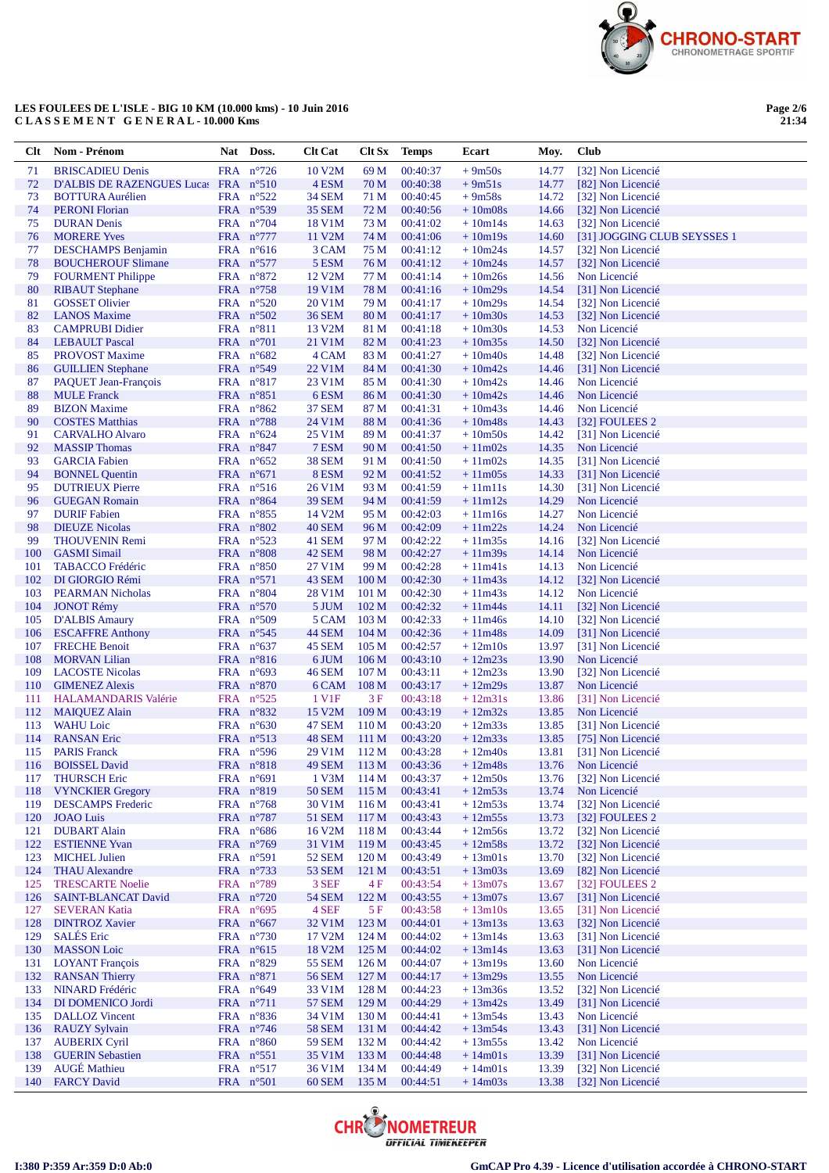

**Page 2/6 21:34**

| Clt        | Nom - Prénom                                      | <b>Nat</b> | Doss.                                    | <b>Clt Cat</b>                 |                                      | <b>Clt Sx</b> Temps  | Ecart                  | Moy.           | Club                                             |
|------------|---------------------------------------------------|------------|------------------------------------------|--------------------------------|--------------------------------------|----------------------|------------------------|----------------|--------------------------------------------------|
| 71         | <b>BRISCADIEU Denis</b>                           |            | FRA n°726                                | 10 V2M                         | 69 M                                 | 00:40:37             | $+9m50s$               | 14.77          | [32] Non Licencié                                |
| 72         | D'ALBIS DE RAZENGUES Lucas FRA n°510              |            |                                          | 4 ESM                          | 70 M                                 | 00:40:38             | $+9m51s$               | 14.77          | [82] Non Licencié                                |
| 73         | <b>BOTTURA Aurélien</b>                           |            | FRA n°522                                | <b>34 SEM</b>                  | 71 M                                 | 00:40:45             | $+9m58s$               | 14.72          | [32] Non Licencié                                |
| 74         | <b>PERONI</b> Florian                             |            | FRA n°539                                | <b>35 SEM</b>                  | 72 M                                 | 00:40:56             | $+10m08s$              | 14.66          | [32] Non Licencié                                |
| 75         | <b>DURAN</b> Denis<br><b>MORERE Yves</b>          |            | FRA $n^{\circ}704$<br>FRA n°777          | 18 V1M                         | 73 M                                 | 00:41:02             | $+10m14s$              | 14.63          | [32] Non Licencié<br>[31] JOGGING CLUB SEYSSES 1 |
| 76<br>77   | <b>DESCHAMPS</b> Benjamin                         |            | FRA $n^{\circ}616$                       | 11 V2M<br>3 CAM                | 74 M<br>75 M                         | 00:41:06<br>00:41:12 | $+10m19s$<br>$+10m24s$ | 14.60<br>14.57 | [32] Non Licencié                                |
| 78         | <b>BOUCHEROUF Slimane</b>                         |            | FRA $n^{\circ}577$                       | 5 ESM                          | 76 M                                 | 00:41:12             | $+10m24s$              | 14.57          | [32] Non Licencié                                |
| 79         | <b>FOURMENT Philippe</b>                          |            | FRA $n^{\circ}872$                       | 12 V <sub>2</sub> M            | 77 M                                 | 00:41:14             | $+10m26s$              | 14.56          | Non Licencié                                     |
| 80         | <b>RIBAUT</b> Stephane                            |            | FRA $n^{\circ}$ 758                      | 19 V1M                         | 78 M                                 | 00:41:16             | $+10m29s$              | 14.54          | [31] Non Licencié                                |
| 81         | <b>GOSSET Olivier</b>                             |            | FRA $n^{\circ}520$                       | 20 V1M                         | 79 M                                 | 00:41:17             | $+10m29s$              | 14.54          | [32] Non Licencié                                |
| 82         | <b>LANOS</b> Maxime                               |            | FRA $n^{\circ}502$                       | <b>36 SEM</b>                  | 80 M                                 | 00:41:17             | $+10m30s$              | 14.53          | [32] Non Licencié                                |
| 83         | <b>CAMPRUBI Didier</b>                            |            | FRA n°811                                | 13 V <sub>2</sub> M            | 81 M                                 | 00:41:18             | $+10m30s$              | 14.53          | Non Licencié                                     |
| 84         | <b>LEBAULT</b> Pascal                             |            | FRA $n^{\circ}701$                       | 21 V1M                         | 82 M<br>83 M                         | 00:41:23             | $+10m35s$              | 14.50          | [32] Non Licencié                                |
| 85<br>86   | <b>PROVOST Maxime</b><br><b>GUILLIEN</b> Stephane |            | FRA $n^{\circ}682$<br>FRA $n^{\circ}549$ | 4 CAM<br>22 V1M                | 84 M                                 | 00:41:27<br>00:41:30 | $+10m40s$<br>$+10m42s$ | 14.48<br>14.46 | [32] Non Licencié<br>[31] Non Licencié           |
| 87         | <b>PAQUET Jean-François</b>                       |            | FRA $n^{\circ}817$                       | 23 V1M                         | 85 M                                 | 00:41:30             | $+10m42s$              | 14.46          | Non Licencié                                     |
| 88         | <b>MULE</b> Franck                                |            | FRA $n^{\circ}851$                       | 6 ESM                          | 86 M                                 | 00:41:30             | $+10m42s$              | 14.46          | Non Licencié                                     |
| 89         | <b>BIZON</b> Maxime                               |            | FRA $n^{\circ}862$                       | <b>37 SEM</b>                  | 87 M                                 | 00:41:31             | $+10m43s$              | 14.46          | Non Licencié                                     |
| 90         | <b>COSTES Matthias</b>                            |            | FRA $n^{\circ}788$                       | 24 V1M                         | 88 M                                 | 00:41:36             | $+10m48s$              | 14.43          | [32] FOULEES 2                                   |
| 91         | <b>CARVALHO Alvaro</b>                            |            | FRA $n^{\circ}624$                       | 25 V1M                         | 89 M                                 | 00:41:37             | $+10m50s$              | 14.42          | [31] Non Licencié                                |
| 92         | <b>MASSIP</b> Thomas                              |            | $FRA$ $n^{\circ}847$                     | 7 ESM                          | 90 M                                 | 00:41:50             | $+11m02s$              | 14.35          | Non Licencié                                     |
| 93         | <b>GARCIA Fabien</b>                              |            | FRA $n^{\circ}652$                       | <b>38 SEM</b>                  | 91 M                                 | 00:41:50             | $+11m02s$              | 14.35          | [31] Non Licencié                                |
| 94<br>95   | <b>BONNEL Quentin</b><br><b>DUTRIEUX Pierre</b>   |            | FRA $n^{\circ}671$<br>FRA $n^{\circ}516$ | 8 ESM<br>26 V1M                | 92 M<br>93 M                         | 00:41:52<br>00:41:59 | $+11m05s$<br>$+11m11s$ | 14.33<br>14.30 | [31] Non Licencié<br>[31] Non Licencié           |
| 96         | <b>GUEGAN Romain</b>                              |            | FRA $n^{\circ}864$                       | <b>39 SEM</b>                  | 94 M                                 | 00:41:59             | $+11m12s$              | 14.29          | Non Licencié                                     |
| 97         | <b>DURIF</b> Fabien                               |            | FRA $n^{\circ}855$                       | 14 V2M                         | 95 M                                 | 00:42:03             | $+11m16s$              | 14.27          | Non Licencié                                     |
| 98         | <b>DIEUZE Nicolas</b>                             |            | FRA n°802                                | 40 SEM                         | 96 M                                 | 00:42:09             | $+11m22s$              | 14.24          | Non Licencié                                     |
| 99         | <b>THOUVENIN Remi</b>                             |            | FRA $n^{\circ}523$                       | 41 SEM                         | 97 M                                 | 00:42:22             | $+11m35s$              | 14.16          | [32] Non Licencié                                |
| 100        | <b>GASMI</b> Simail                               |            | FRA n°808                                | 42 SEM                         | 98 M                                 | 00:42:27             | $+11m39s$              | 14.14          | Non Licencié                                     |
| 101        | TABACCO Frédéric                                  |            | FRA $n^{\circ}850$                       | 27 V1M                         | 99 M                                 | 00:42:28             | $+11m41s$              | 14.13          | Non Licencié                                     |
| 102        | DI GIORGIO Rémi                                   |            | FRA $n^{\circ}571$                       | 43 SEM                         | 100 <sub>M</sub>                     | 00:42:30             | $+11m43s$              | 14.12          | [32] Non Licencié                                |
| 103        | <b>PEARMAN Nicholas</b><br><b>JONOT Rémy</b>      |            | FRA $n^{\circ}804$<br>FRA n°570          | 28 V1M<br>5 JUM                | 101 <sub>M</sub><br>102 <sub>M</sub> | 00:42:30<br>00:42:32 | $+11m43s$<br>$+11m44s$ | 14.12<br>14.11 | Non Licencié<br>[32] Non Licencié                |
| 104<br>105 | <b>D'ALBIS Amaury</b>                             |            | FRA $n^{\circ}509$                       | 5 CAM                          | 103 <sub>M</sub>                     | 00:42:33             | $+11m46s$              | 14.10          | [32] Non Licencié                                |
| 106        | <b>ESCAFFRE Anthony</b>                           |            | FRA $n^{\circ}545$                       | <b>44 SEM</b>                  | 104 <sub>M</sub>                     | 00:42:36             | $+11m48s$              | 14.09          | [31] Non Licencié                                |
| 107        | <b>FRECHE Benoit</b>                              |            | FRA $n^{\circ}637$                       | 45 SEM                         | 105 <sub>M</sub>                     | 00:42:57             | $+12m10s$              | 13.97          | [31] Non Licencié                                |
| 108        | <b>MORVAN Lilian</b>                              |            | FRA $n^{\circ}816$                       | 6 JUM                          | 106 <sub>M</sub>                     | 00:43:10             | $+12m23s$              | 13.90          | Non Licencié                                     |
| 109        | <b>LACOSTE Nicolas</b>                            |            | FRA $n^{\circ}693$                       | <b>46 SEM</b>                  | 107 <sub>M</sub>                     | 00:43:11             | $+12m23s$              | 13.90          | [32] Non Licencié                                |
| 110        | <b>GIMENEZ Alexis</b>                             |            | FRA $n^{\circ}870$                       | 6 CAM                          | 108 <sub>M</sub>                     | 00:43:17             | $+12m29s$              | 13.87          | Non Licencié                                     |
| 111        | <b>HALAMANDARIS Valérie</b>                       |            | FRA $n^{\circ}525$                       | 1 V1F                          | 3 F                                  | 00:43:18             | $+12m31s$              | 13.86          | [31] Non Licencié                                |
| 112<br>113 | <b>MAIQUEZ Alain</b><br><b>WAHU Loic</b>          |            | FRA n°832<br>FRA $n^{\circ}630$          | 15 V2M<br>47 SEM               | 109 <sub>M</sub><br>110 <sub>M</sub> | 00:43:19<br>00:43:20 | $+12m32s$<br>$+12m33s$ | 13.85<br>13.85 | Non Licencié<br>[31] Non Licencié                |
| 114        | <b>RANSAN Eric</b>                                |            | FRA $n^{\circ}513$                       | 48 SEM                         | 111 M                                | 00:43:20             | $+12m33s$              | 13.85          | [75] Non Licencié                                |
| 115        | <b>PARIS Franck</b>                               |            | FRA $n^{\circ}$ 596                      | 29 V1M                         | 112M                                 | 00:43:28             | $+12m40s$              | 13.81          | [31] Non Licencié                                |
| 116        | <b>BOISSEL David</b>                              |            | FRA n°818                                | <b>49 SEM</b>                  | 113M                                 | 00:43:36             | $+12m48s$              |                | 13.76 Non Licencié                               |
| 117        | <b>THURSCH Eric</b>                               |            | FRA n°691                                | 1 V3M                          | 114 M                                | 00:43:37             | $+12m50s$              | 13.76          | [32] Non Licencié                                |
| 118        | <b>VYNCKIER Gregory</b>                           |            | FRA n°819                                | <b>50 SEM</b>                  | 115 M                                | 00:43:41             | $+12m53s$              | 13.74          | Non Licencié                                     |
| 119        | <b>DESCAMPS</b> Frederic                          |            | FRA n°768                                | 30 V1M                         | 116 M                                | 00:43:41             | $+12m53s$              | 13.74          | [32] Non Licencié                                |
| 120        | <b>JOAO</b> Luis                                  |            | FRA n°787                                | <b>51 SEM</b>                  | 117 <sub>M</sub>                     | 00:43:43             | $+12m55s$              | 13.73          | [32] FOULEES 2                                   |
| 121        | <b>DUBART Alain</b>                               |            | FRA n°686                                | 16 V2M                         | 118 <sub>M</sub>                     | 00:43:44             | $+12m56s$              | 13.72          | [32] Non Licencié                                |
| 122<br>123 | <b>ESTIENNE Yvan</b><br><b>MICHEL Julien</b>      |            | FRA n°769<br>FRA n°591                   | 31 V1M<br><b>52 SEM</b>        | 119 <sub>M</sub><br>120 <sub>M</sub> | 00:43:45<br>00:43:49 | $+12m58s$<br>$+13m01s$ | 13.72<br>13.70 | [32] Non Licencié<br>[32] Non Licencié           |
| 124        | <b>THAU Alexandre</b>                             |            | FRA $n^{\circ}$ 733                      | <b>53 SEM</b>                  | 121 M                                | 00:43:51             | $+13m03s$              | 13.69          | [82] Non Licencié                                |
| 125        | <b>TRESCARTE Noelie</b>                           |            | FRA $n^{\circ}789$                       | 3 SEF                          | 4F                                   | 00:43:54             | $+13m07s$              | 13.67          | [32] FOULEES 2                                   |
| 126        | <b>SAINT-BLANCAT David</b>                        |            | FRA n°720                                | <b>54 SEM</b>                  | 122 M                                | 00:43:55             | $+13m07s$              | 13.67          | [31] Non Licencié                                |
| 127        | <b>SEVERAN Katia</b>                              |            | FRA $n^{\circ}695$                       | 4 SEF                          | 5 F                                  | 00:43:58             | $+13ml0s$              | 13.65          | [31] Non Licencié                                |
| 128        | <b>DINTROZ Xavier</b>                             |            | FRA $n^{\circ}667$                       | 32 V1M                         | 123 M                                | 00:44:01             | $+13m13s$              | 13.63          | [32] Non Licencié                                |
| 129        | <b>SALÉS</b> Eric                                 |            | FRA n°730                                | 17 V2M                         | 124M                                 | 00:44:02             | $+13m14s$              | 13.63          | [31] Non Licencié                                |
| 130        | <b>MASSON</b> Loic                                |            | FRA $n^{\circ}615$                       | 18 V2M                         | 125 <sub>M</sub>                     | 00:44:02             | $+13m14s$              | 13.63          | [31] Non Licencié                                |
| 131<br>132 | <b>LOYANT</b> François<br><b>RANSAN Thierry</b>   |            | FRA n°829<br>FRA n°871                   | <b>55 SEM</b><br><b>56 SEM</b> | 126 M<br>127 <sub>M</sub>            | 00:44:07<br>00:44:17 | $+13m19s$<br>$+13m29s$ | 13.60<br>13.55 | Non Licencié<br>Non Licencié                     |
| 133        | <b>NINARD</b> Frédéric                            |            | FRA $n^{\circ}649$                       | 33 V1M                         | 128 <sub>M</sub>                     | 00:44:23             | $+13m36s$              | 13.52          | [32] Non Licencié                                |
| 134        | DI DOMENICO Jordi                                 |            | FRA $n^{\circ}711$                       | <b>57 SEM</b>                  | 129 M                                | 00:44:29             | $+13m42s$              | 13.49          | [31] Non Licencié                                |
| 135        | <b>DALLOZ</b> Vincent                             |            | FRA n°836                                | 34 V1M                         | 130 <sub>M</sub>                     | 00:44:41             | $+13m54s$              | 13.43          | Non Licencié                                     |
| 136        | <b>RAUZY Sylvain</b>                              |            | FRA n°746                                | <b>58 SEM</b>                  | 131 M                                | 00:44:42             | $+13m54s$              | 13.43          | [31] Non Licencié                                |
| 137        | <b>AUBERIX Cyril</b>                              |            | FRA n°860                                | <b>59 SEM</b>                  | 132 M                                | 00:44:42             | $+13m55s$              | 13.42          | Non Licencié                                     |
| 138        | <b>GUERIN Sebastien</b>                           |            | FRA n°551                                | 35 V1M                         | 133 M                                | 00:44:48             | $+14m01s$              | 13.39          | [31] Non Licencié                                |
| 139        | <b>AUGÉ</b> Mathieu                               |            | FRA n°517                                | 36 V1M                         | 134 M                                | 00:44:49             | $+14m01s$              | 13.39          | [32] Non Licencié                                |
| 140        | <b>FARCY David</b>                                |            | FRA n°501                                | 60 SEM                         | 135 M                                | 00:44:51             | $+14m03s$              | 13.38          | [32] Non Licencié                                |

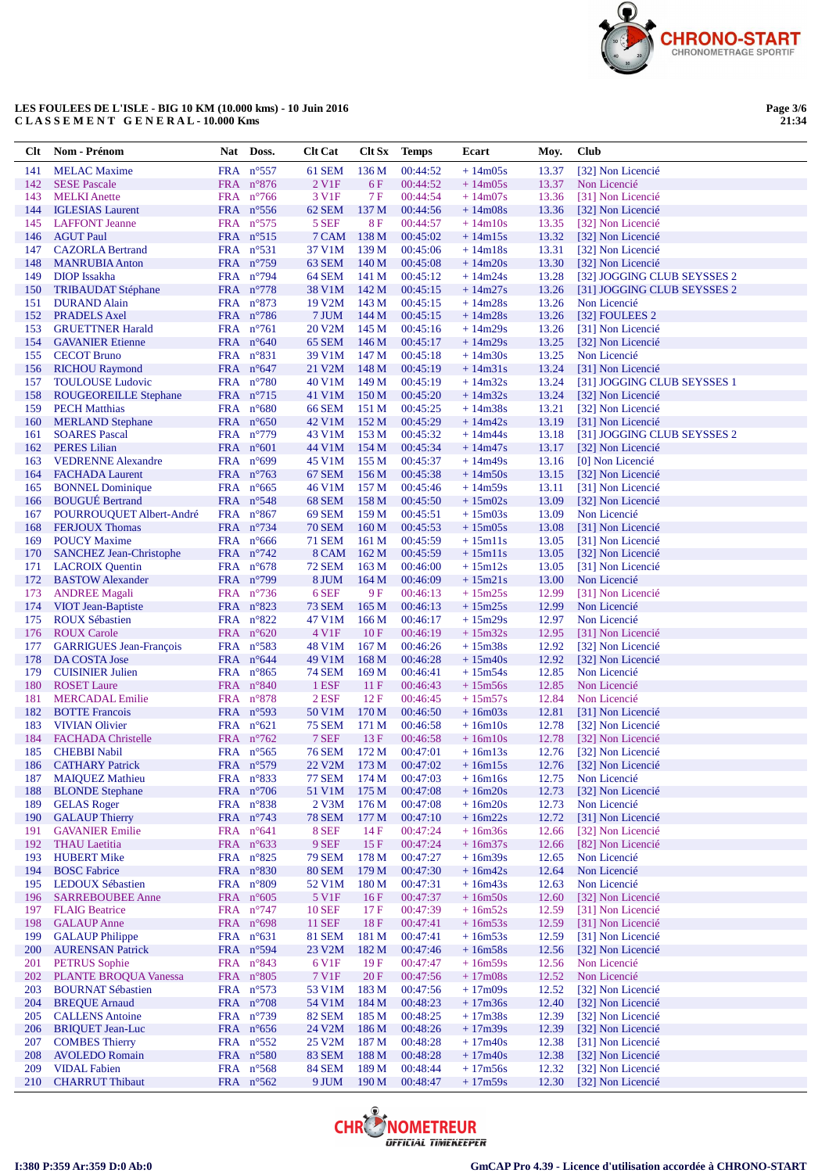

Page 3/6<br>21:34

| Clt        | Nom - Prénom                                      | Nat Doss.                                 | <b>Clt Cat</b>          | Clt Sx                               | <b>Temps</b>         | Ecart                  | Moy.           | Club                                                       |
|------------|---------------------------------------------------|-------------------------------------------|-------------------------|--------------------------------------|----------------------|------------------------|----------------|------------------------------------------------------------|
| 141        | <b>MELAC</b> Maxime                               | FRA n°557                                 | 61 SEM                  | 136 M                                | 00:44:52             | $+14m05s$              | 13.37          | [32] Non Licencié                                          |
| 142        | <b>SESE Pascale</b>                               | FRA n°876                                 | 2 V1F                   | 6F                                   | 00:44:52             | $+14m05s$              | 13.37          | Non Licencié                                               |
| 143        | <b>MELKI</b> Anette                               | FRA $n^{\circ}$ 766                       | 3 V1F                   | 7 F                                  | 00:44:54             | $+14m07s$              | 13.36          | [31] Non Licencié                                          |
| 144        | <b>IGLESIAS</b> Laurent                           | FRA $n^{\circ}$ 556                       | 62 SEM                  | 137 M                                | 00:44:56             | $+14m08s$              | 13.36          | [32] Non Licencié                                          |
| 145        | <b>LAFFONT</b> Jeanne                             | FRA $n^{\circ}575$                        | 5 SEF                   | 8F                                   | 00:44:57             | $+14m10s$              | 13.35          | [32] Non Licencié                                          |
| 146        | <b>AGUT Paul</b>                                  | FRA $n^{\circ}515$                        | 7 CAM                   | 138 M                                | 00:45:02             | $+14m15s$              | 13.32          | [32] Non Licencié                                          |
| 147        | <b>CAZORLA Bertrand</b>                           | FRA $n^{\circ}531$                        | 37 V1M                  | 139 <sub>M</sub>                     | 00:45:06             | $+14m18s$              | 13.31          | [32] Non Licencié                                          |
| 148        | <b>MANRUBIA Anton</b>                             | FRA $n^{\circ}$ 759                       | 63 SEM                  | 140 <sub>M</sub>                     | 00:45:08             | $+14m20s$              | 13.30          | [32] Non Licencié                                          |
| 149<br>150 | DIOP Issakha<br><b>TRIBAUDAT Stéphane</b>         | FRA $n^{\circ}$ 794<br>FRA $n^{\circ}778$ | 64 SEM<br>38 V1M        | 141 M<br>142 M                       | 00:45:12<br>00:45:15 | $+14m24s$<br>$+14m27s$ | 13.28<br>13.26 | [32] JOGGING CLUB SEYSSES 2<br>[31] JOGGING CLUB SEYSSES 2 |
| 151        | <b>DURAND</b> Alain                               | FRA $n^{\circ}873$                        | 19 V2M                  | 143 M                                | 00:45:15             | $+14m28s$              | 13.26          | Non Licencié                                               |
| 152        | <b>PRADELS Axel</b>                               | FRA $n^{\circ}786$                        | 7 JUM                   | 144 M                                | 00:45:15             | $+14m28s$              | 13.26          | [32] FOULEES 2                                             |
| 153        | <b>GRUETTNER Harald</b>                           | FRA $n^{\circ}761$                        | 20 V2M                  | 145 M                                | 00:45:16             | $+14m29s$              | 13.26          | [31] Non Licencié                                          |
| 154        | <b>GAVANIER Etienne</b>                           | FRA $n^{\circ}640$                        | 65 SEM                  | 146 M                                | 00:45:17             | $+14m29s$              | 13.25          | [32] Non Licencié                                          |
| 155        | <b>CECOT Bruno</b>                                | $FRA$ $n^{\circ}831$                      | 39 V1M                  | 147 M                                | 00:45:18             | $+14m30s$              | 13.25          | Non Licencié                                               |
| 156        | <b>RICHOU Raymond</b>                             | FRA $n^{\circ}647$                        | 21 V2M                  | 148 M                                | 00:45:19             | $+14m31s$              | 13.24          | [31] Non Licencié                                          |
| 157        | <b>TOULOUSE</b> Ludovic                           | FRA $n^{\circ}780$                        | 40 V1M                  | 149 M                                | 00:45:19             | $+14m32s$              | 13.24          | [31] JOGGING CLUB SEYSSES 1                                |
| 158        | <b>ROUGEOREILLE Stephane</b>                      | FRA $n^{\circ}$ 715                       | 41 V1M                  | 150 <sub>M</sub>                     | 00:45:20             | $+14m32s$              | 13.24          | [32] Non Licencié                                          |
| 159        | <b>PECH Matthias</b>                              | FRA $n^{\circ}680$                        | <b>66 SEM</b>           | 151 M                                | 00:45:25             | $+14m38s$              | 13.21          | [32] Non Licencié                                          |
| 160        | <b>MERLAND</b> Stephane                           | FRA $n^{\circ}650$                        | 42 V1M                  | 152M                                 | 00:45:29             | $+14m42s$              | 13.19          | [31] Non Licencié                                          |
| 161        | <b>SOARES Pascal</b>                              | FRA n°779                                 | 43 V1M                  | 153 M                                | 00:45:32             | $+14m44s$              | 13.18          | [31] JOGGING CLUB SEYSSES 2                                |
| 162        | <b>PERES</b> Lilian                               | FRA $n^{\circ}601$                        | 44 V1M                  | 154 M                                | 00:45:34             | $+14m47s$              | 13.17          | [32] Non Licencié                                          |
| 163<br>164 | <b>VEDRENNE Alexandre</b>                         | FRA $n^{\circ}699$<br>FRA $n^{\circ}$ 763 | 45 V1M<br>67 SEM        | 155 M                                | 00:45:37<br>00:45:38 | $+14m49s$<br>$+14m50s$ | 13.16<br>13.15 | [0] Non Licencié<br>[32] Non Licencié                      |
| 165        | <b>FACHADA Laurent</b><br><b>BONNEL Dominique</b> | FRA $n^{\circ}665$                        | 46 V1M                  | 156M<br>157 M                        | 00:45:46             | $+14m59s$              | 13.11          | [31] Non Licencié                                          |
| 166        | <b>BOUGUÉ Bertrand</b>                            | FRA $n^{\circ}548$                        | 68 SEM                  | 158 M                                | 00:45:50             | $+15m02s$              | 13.09          | [32] Non Licencié                                          |
| 167        | POURROUQUET Albert-André                          | FRA $n^{\circ}867$                        | 69 SEM                  | 159 M                                | 00:45:51             | $+15m03s$              | 13.09          | Non Licencié                                               |
| 168        | <b>FERJOUX Thomas</b>                             | FRA $n^{\circ}$ 734                       | <b>70 SEM</b>           | 160 <sub>M</sub>                     | 00:45:53             | $+15m05s$              | 13.08          | [31] Non Licencié                                          |
| 169        | <b>POUCY Maxime</b>                               | FRA $n^{\circ}666$                        | <b>71 SEM</b>           | 161 M                                | 00:45:59             | $+15m11s$              | 13.05          | [31] Non Licencié                                          |
| 170        | <b>SANCHEZ Jean-Christophe</b>                    | FRA $n^{\circ}$ 742                       | 8 CAM                   | 162 M                                | 00:45:59             | $+15m11s$              | 13.05          | [32] Non Licencié                                          |
| 171        | <b>LACROIX</b> Quentin                            | FRA $n^{\circ}678$                        | <b>72 SEM</b>           | 163 M                                | 00:46:00             | $+15m12s$              | 13.05          | [31] Non Licencié                                          |
| 172        | <b>BASTOW Alexander</b>                           | FRA $n^{\circ}$ 799                       | 8 JUM                   | 164M                                 | 00:46:09             | $+15m21s$              | 13.00          | Non Licencié                                               |
| 173        | <b>ANDREE Magali</b>                              | FRA $n^{\circ}$ 736                       | 6 SEF                   | 9 F                                  | 00:46:13             | $+15m25s$              | 12.99          | [31] Non Licencié                                          |
| 174        | VIOT Jean-Baptiste                                | FRA $n^{\circ}823$                        | <b>73 SEM</b>           | 165 <sub>M</sub>                     | 00:46:13             | $+15m25s$              | 12.99          | Non Licencié                                               |
| 175        | <b>ROUX Sébastien</b>                             | FRA $n^{\circ}822$                        | 47 V1M                  | 166 M                                | 00:46:17             | $+15m29s$              | 12.97          | Non Licencié                                               |
| 176        | <b>ROUX Carole</b>                                | FRA $n^{\circ}620$                        | 4 V <sub>1</sub> F      | 10F                                  | 00:46:19             | $+15m32s$              | 12.95          | [31] Non Licencié                                          |
| 177        | <b>GARRIGUES Jean-François</b>                    | FRA $n^{\circ}583$                        | 48 V1M                  | 167 <sub>M</sub>                     | 00:46:26             | $+15m38s$              | 12.92          | [32] Non Licencié                                          |
| 178<br>179 | DA COSTA Jose<br><b>CUISINIER Julien</b>          | FRA $n^{\circ}644$<br>FRA $n^{\circ}865$  | 49 V1M<br>74 SEM        | 168 <sub>M</sub><br>169 <sub>M</sub> | 00:46:28<br>00:46:41 | $+15m40s$<br>$+15m54s$ | 12.92<br>12.85 | [32] Non Licencié<br>Non Licencié                          |
| 180        | <b>ROSET</b> Laure                                | FRA $n^{\circ}840$                        | 1 ESF                   | 11 F                                 | 00:46:43             | $+15m56s$              | 12.85          | Non Licencié                                               |
| 181        | <b>MERCADAL Emilie</b>                            | FRA $n^{\circ}878$                        | $2$ ESF                 | 12F                                  | 00:46:45             | $+15m57s$              | 12.84          | Non Licencié                                               |
| 182        | <b>BOTTE</b> Francois                             | FRA $n^{\circ}593$                        | 50 V1M                  | 170 <sub>M</sub>                     | 00:46:50             | $+16m03s$              | 12.81          | [31] Non Licencié                                          |
| 183        | <b>VIVIAN Olivier</b>                             | FRA $n^{\circ}621$                        | <b>75 SEM</b>           | 171 M                                | 00:46:58             | $+16m10s$              | 12.78          | [32] Non Licencié                                          |
| 184        | <b>FACHADA</b> Christelle                         | FRA $n^{\circ}$ 762                       | 7 SEF                   | 13F                                  | 00:46:58             | $+16m10s$              | 12.78          | [32] Non Licencié                                          |
| 185        | <b>CHEBBI</b> Nabil                               | FRA $n^{\circ}565$                        | <b>76 SEM</b>           | 172 M                                | 00:47:01             | $+16m13s$              | 12.76          | [32] Non Licencié                                          |
| 186        | <b>CATHARY Patrick</b>                            | FRA n°579                                 | 22 V <sub>2</sub> M     | 173M                                 | 00:47:02             | $+16m15s$              | 12.76          | [32] Non Licencié                                          |
| 187        | <b>MAIQUEZ Mathieu</b>                            | FRA n°833                                 | <b>77 SEM</b>           | 174 M                                | 00:47:03             | $+16m16s$              | 12.75          | Non Licencié                                               |
| 188        | <b>BLONDE</b> Stephane                            | FRA n°706                                 | 51 V1M                  | 175 <sub>M</sub>                     | 00:47:08             | $+16m20s$              | 12.73          | [32] Non Licencié                                          |
| 189        | <b>GELAS Roger</b>                                | FRA n°838                                 | $2$ V $3M$              | 176M                                 | 00:47:08             | $+16m20s$              | 12.73          | Non Licencié                                               |
| 190        | <b>GALAUP Thierry</b><br><b>GAVANIER Emilie</b>   | FRA $n^{\circ}$ 743<br>FRA $n^{\circ}641$ | <b>78 SEM</b><br>8 SEF  | 177 <sub>M</sub><br>14F              | 00:47:10<br>00:47:24 | $+16m22s$              | 12.72          | [31] Non Licencié<br>[32] Non Licencié                     |
| 191<br>192 | <b>THAU</b> Laetitia                              | FRA n°633                                 | 9 SEF                   | 15F                                  | 00:47:24             | $+16m36s$<br>$+16m37s$ | 12.66<br>12.66 | [82] Non Licencié                                          |
| 193        | <b>HUBERT Mike</b>                                | FRA $n^{\circ}825$                        | <b>79 SEM</b>           | 178 M                                | 00:47:27             | $+16m39s$              | 12.65          | Non Licencié                                               |
| 194        | <b>BOSC Fabrice</b>                               | FRA n°830                                 | <b>80 SEM</b>           | 179 M                                | 00:47:30             | $+16m42s$              | 12.64          | Non Licencié                                               |
| 195        | LEDOUX Sébastien                                  | FRA n°809                                 | 52 V1M                  | 180 <sub>M</sub>                     | 00:47:31             | $+16m43s$              | 12.63          | Non Licencié                                               |
| 196        | <b>SARREBOUBEE Anne</b>                           | FRA $n^{\circ}605$                        | 5 V1F                   | 16F                                  | 00:47:37             | $+16m50s$              | 12.60          | [32] Non Licencié                                          |
| 197        | <b>FLAIG Beatrice</b>                             | FRA $n^{\circ}$ 747                       | <b>10 SEF</b>           | 17F                                  | 00:47:39             | $+16m52s$              | 12.59          | [31] Non Licencié                                          |
| 198        | <b>GALAUP</b> Anne                                | FRA n°698                                 | 11 SEF                  | 18F                                  | 00:47:41             | $+16m53s$              | 12.59          | [31] Non Licencié                                          |
| 199        | <b>GALAUP Philippe</b>                            | FRA $n^{\circ}631$                        | 81 SEM                  | 181 M                                | 00:47:41             | $+16m53s$              | 12.59          | [31] Non Licencié                                          |
| 200        | <b>AURENSAN Patrick</b>                           | FRA n°594                                 | 23 V2M                  | 182 M                                | 00:47:46             | $+16m58s$              | 12.56          | [32] Non Licencié                                          |
| 201        | <b>PETRUS</b> Sophie                              | FRA n°843                                 | 6 V1F                   | 19F                                  | 00:47:47             | $+16m59s$              | 12.56          | Non Licencié                                               |
| 202        | <b>PLANTE BROQUA Vanessa</b>                      | FRA n°805                                 | 7 V1F                   | 20F                                  | 00:47:56             | $+17m08s$              | 12.52          | Non Licencié                                               |
| 203        | <b>BOURNAT Sébastien</b>                          | FRA $n^{\circ}573$                        | 53 V1M                  | 183 M                                | 00:47:56             | $+17m09s$              | 12.52          | [32] Non Licencié                                          |
| 204        | <b>BREQUE Arnaud</b>                              | FRA n°708                                 | 54 V1M                  | 184 M                                | 00:48:23             | $+17m36s$              | 12.40          | [32] Non Licencié                                          |
| 205<br>206 | <b>CALLENS</b> Antoine<br><b>BRIQUET Jean-Luc</b> | FRA n°739<br>FRA $n^{\circ}656$           | <b>82 SEM</b><br>24 V2M | 185 M<br>186 M                       | 00:48:25<br>00:48:26 | $+17m38s$<br>$+17m39s$ | 12.39<br>12.39 | [32] Non Licencié<br>[32] Non Licencié                     |
| 207        | <b>COMBES Thierry</b>                             | FRA $n^{\circ}552$                        | 25 V2M                  | 187 M                                | 00:48:28             | $+17m40s$              | 12.38          | [31] Non Licencié                                          |
| 208        | <b>AVOLEDO</b> Romain                             | FRA n°580                                 | <b>83 SEM</b>           | 188 M                                | 00:48:28             | $+17m40s$              | 12.38          | [32] Non Licencié                                          |
| 209        | <b>VIDAL Fabien</b>                               | FRA n°568                                 | <b>84 SEM</b>           | 189 M                                | 00:48:44             | $+17m56s$              | 12.32          | [32] Non Licencié                                          |
| 210        | <b>CHARRUT Thibaut</b>                            | FRA $n^{\circ}562$                        | 9 JUM                   | 190 <sub>M</sub>                     | 00:48:47             | $+17m59s$              | 12.30          | [32] Non Licencié                                          |

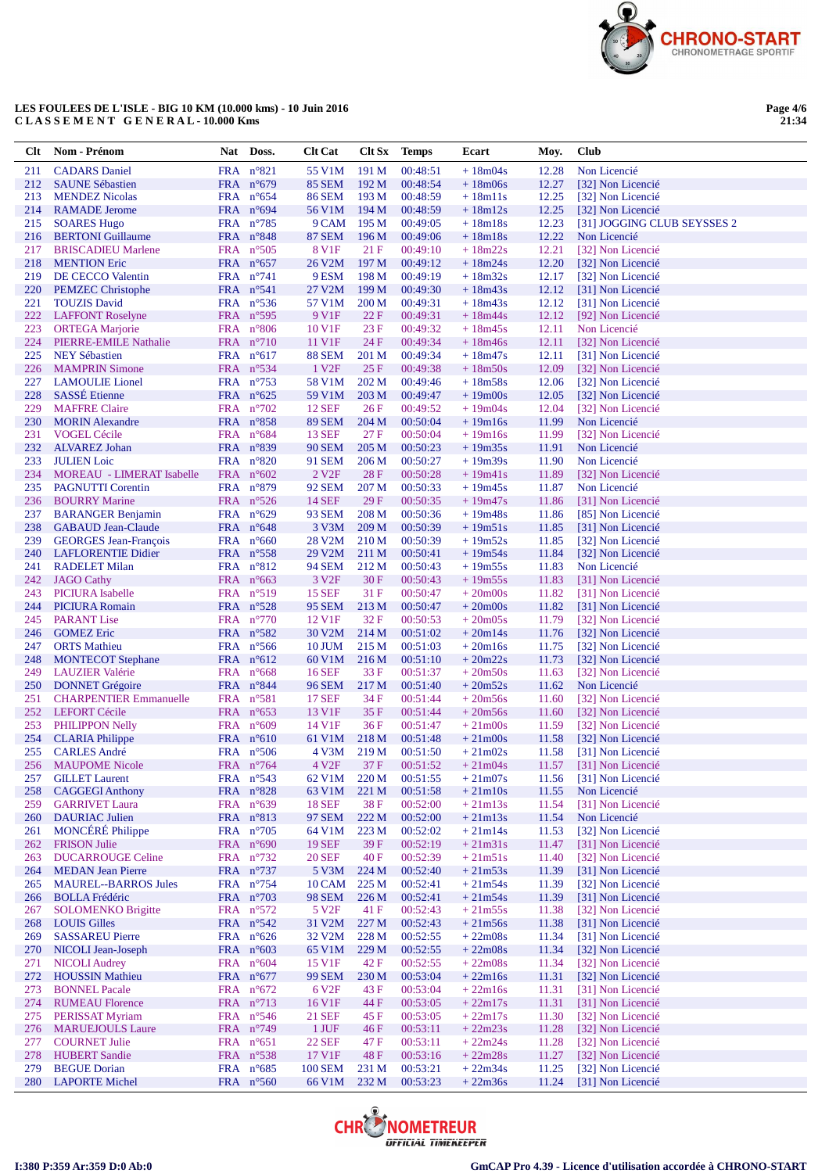

**Page 4/6 21:34**

| <b>Clt</b> | Nom - Prénom                                       | Nat Doss.                                 | <b>Clt Cat</b>                 |                  | Clt Sx Temps         | Ecart                  | Moy.           | <b>Club</b>                            |
|------------|----------------------------------------------------|-------------------------------------------|--------------------------------|------------------|----------------------|------------------------|----------------|----------------------------------------|
| 211        | <b>CADARS</b> Daniel                               | $FRA$ $n^{\circ}821$                      | 55 V1M                         | 191 M            | 00:48:51             | $+18m04s$              | 12.28          | Non Licencié                           |
| 212        | <b>SAUNE Sébastien</b>                             | FRA $n^{\circ}679$                        | <b>85 SEM</b>                  | 192 M            | 00:48:54             | $+18m06s$              | 12.27          | [32] Non Licencié                      |
| 213        | <b>MENDEZ Nicolas</b>                              | FRA $n^{\circ}654$                        | <b>86 SEM</b>                  | 193 M            | 00:48:59             | $+18m11s$              | 12.25          | [32] Non Licencié                      |
| 214        | <b>RAMADE</b> Jerome                               | FRA $n^{\circ}694$                        | 56 V1M                         | 194M             | 00:48:59             | $+18m12s$              | 12.25          | [32] Non Licencié                      |
| 215        | <b>SOARES Hugo</b>                                 | FRA $n^{\circ}785$                        | 9 CAM                          | 195 <sub>M</sub> | 00:49:05             | $+18m18s$              | 12.23          | [31] JOGGING CLUB SEYSSES 2            |
| 216        | <b>BERTONI</b> Guillaume                           | FRA $n^{\circ}848$                        | <b>87 SEM</b>                  | 196 M            | 00:49:06             | $+18m18s$              | 12.22          | Non Licencié                           |
| 217        | <b>BRISCADIEU Marlene</b>                          | FRA $n^{\circ}505$                        | 8 V <sub>1F</sub>              | 21 F             | 00:49:10             | $+18m22s$              | 12.21          | [32] Non Licencié                      |
| 218<br>219 | <b>MENTION Eric</b>                                | FRA $n^{\circ}657$<br>FRA $n^{\circ}741$  | 26 V2M<br>9 ESM                | 197 M<br>198 M   | 00:49:12<br>00:49:19 | $+18m24s$<br>$+18m32s$ | 12.20<br>12.17 | [32] Non Licencié                      |
| 220        | DE CECCO Valentin<br><b>PEMZEC</b> Christophe      | FRA n°541                                 | 27 V2M                         | 199 M            | 00:49:30             | $+18m43s$              | 12.12          | [32] Non Licencié<br>[31] Non Licencié |
| 221        | <b>TOUZIS David</b>                                | FRA $n^{\circ}$ 536                       | 57 V1M                         | 200 <sub>M</sub> | 00:49:31             | $+18m43s$              | 12.12          | [31] Non Licencié                      |
| 222        | <b>LAFFONT Roselyne</b>                            | FRA $n^{\circ}595$                        | 9 V1F                          | 22 F             | 00:49:31             | $+18m44s$              | 12.12          | [92] Non Licencié                      |
| 223        | <b>ORTEGA</b> Marjorie                             | FRA $n^{\circ}806$                        | 10 V1F                         | 23 F             | 00:49:32             | $+18m45s$              | 12.11          | Non Licencié                           |
| 224        | PIERRE-EMILE Nathalie                              | FRA $n^{\circ}710$                        | 11 V1F                         | 24 F             | 00:49:34             | $+18m46s$              | 12.11          | [32] Non Licencié                      |
| 225        | <b>NEY Sébastien</b>                               | FRA $n^{\circ}617$                        | <b>88 SEM</b>                  | 201 M            | 00:49:34             | $+18m47s$              | 12.11          | [31] Non Licencié                      |
| 226        | <b>MAMPRIN Simone</b>                              | FRA $n^{\circ}534$                        | 1 V <sub>2F</sub>              | 25F              | 00:49:38             | $+18m50s$              | 12.09          | [32] Non Licencié                      |
| 227        | <b>LAMOULIE</b> Lionel                             | FRA $n^{\circ}$ 753                       | 58 V1M                         | 202 M            | 00:49:46             | $+18m58s$              | 12.06          | [32] Non Licencié                      |
| 228        | <b>SASSÉ</b> Etienne                               | FRA $n^{\circ}625$                        | 59 V1M                         | 203 M            | 00:49:47             | $+19m00s$              | 12.05          | [32] Non Licencié                      |
| 229        | <b>MAFFRE</b> Claire                               | FRA $n^{\circ}702$                        | <b>12 SEF</b>                  | 26F              | 00:49:52             | $+19m04s$              | 12.04          | [32] Non Licencié                      |
| 230        | <b>MORIN</b> Alexandre                             | FRA $n^{\circ}858$                        | <b>89 SEM</b>                  | 204 M            | 00:50:04             | $+19m16s$              | 11.99          | Non Licencié                           |
| 231        | <b>VOGEL Cécile</b>                                | FRA $n^{\circ}684$                        | <b>13 SEF</b>                  | 27F              | 00:50:04             | $+19m16s$              | 11.99          | [32] Non Licencié                      |
| 232<br>233 | <b>ALVAREZ Johan</b><br><b>JULIEN</b> Loic         | FRA $n^{\circ}839$                        | <b>90 SEM</b>                  | 205 M            | 00:50:23<br>00:50:27 | $+19m35s$<br>$+19m39s$ | 11.91          | Non Licencié<br>Non Licencié           |
| 234        | <b>MOREAU - LIMERAT Isabelle</b>                   | FRA $n^{\circ}820$<br>FRA $n^{\circ}602$  | 91 SEM<br>2 V <sub>2F</sub>    | 206 M<br>28F     | 00:50:28             | $+19m41s$              | 11.90<br>11.89 | [32] Non Licencié                      |
| 235        | <b>PAGNUTTI</b> Corentin                           | FRA n°879                                 | 92 SEM                         | 207 M            | 00:50:33             | $+19m45s$              | 11.87          | Non Licencié                           |
| 236        | <b>BOURRY Marine</b>                               | FRA $n^{\circ}526$                        | <b>14 SEF</b>                  | 29F              | 00:50:35             | $+19m47s$              | 11.86          | [31] Non Licencié                      |
| 237        | <b>BARANGER Benjamin</b>                           | FRA $n^{\circ}629$                        | 93 SEM                         | 208 M            | 00:50:36             | $+19m48s$              | 11.86          | [85] Non Licencié                      |
| 238        | <b>GABAUD Jean-Claude</b>                          | FRA $n^{\circ}648$                        | 3 V3M                          | 209 <sub>M</sub> | 00:50:39             | $+19m51s$              | 11.85          | [31] Non Licencié                      |
| 239        | <b>GEORGES Jean-François</b>                       | FRA $n^{\circ}660$                        | 28 V2M                         | 210 M            | 00:50:39             | $+19m52s$              | 11.85          | [32] Non Licencié                      |
| 240        | <b>LAFLORENTIE Didier</b>                          | FRA $n^{\circ}$ 558                       | 29 V2M                         | 211 M            | 00:50:41             | $+19m54s$              | 11.84          | [32] Non Licencié                      |
| 241        | <b>RADELET Milan</b>                               | FRA $n^{\circ}812$                        | <b>94 SEM</b>                  | 212 M            | 00:50:43             | $+19m55s$              | 11.83          | Non Licencié                           |
| 242        | <b>JAGO Cathy</b>                                  | $FRA$ n°663                               | 3 V <sub>2F</sub>              | 30F              | 00:50:43             | $+19m55s$              | 11.83          | [31] Non Licencié                      |
| 243        | <b>PICIURA</b> Isabelle                            | FRA $n^{\circ}519$                        | <b>15 SEF</b>                  | 31 F             | 00:50:47             | $+20m00s$              | 11.82          | [31] Non Licencié                      |
| 244        | <b>PICIURA Romain</b>                              | FRA $n^{\circ}528$                        | <b>95 SEM</b>                  | 213 M            | 00:50:47             | $+20m00s$              | 11.82          | [31] Non Licencié                      |
| 245        | <b>PARANT</b> Lise                                 | FRA $n^{\circ}770$                        | 12 V1F                         | 32 F             | 00:50:53             | $+20m05s$              | 11.79          | [32] Non Licencié                      |
| 246        | <b>GOMEZ Eric</b>                                  | FRA $n^{\circ}582$                        | 30 V2M                         | 214 M            | 00:51:02             | $+20m14s$              | 11.76          | [32] Non Licencié                      |
| 247<br>248 | <b>ORTS</b> Mathieu                                | FRA $n^{\circ}$ 566<br>FRA $n^{\circ}612$ | <b>10 JUM</b>                  | 215 M            | 00:51:03<br>00:51:10 | $+20m16s$<br>$+20m22s$ | 11.75<br>11.73 | [32] Non Licencié                      |
| 249        | <b>MONTECOT</b> Stephane<br><b>LAUZIER</b> Valérie | FRA $n^{\circ}668$                        | 60 V1M<br><b>16 SEF</b>        | 216 M<br>33 F    | 00:51:37             | $+20m50s$              | 11.63          | [32] Non Licencié<br>[32] Non Licencié |
| 250        | <b>DONNET</b> Grégoire                             | FRA n°844                                 | <b>96 SEM</b>                  | 217 M            | 00:51:40             | $+20m52s$              | 11.62          | Non Licencié                           |
| 251        | <b>CHARPENTIER Emmanuelle</b>                      | FRA $n^{\circ}581$                        | <b>17 SEF</b>                  | 34 F             | 00:51:44             | $+20m56s$              | 11.60          | [32] Non Licencié                      |
| 252        | <b>LEFORT Cécile</b>                               | FRA $n^{\circ}653$                        | 13 V1F                         | 35 F             | 00:51:44             | $+20m56s$              | 11.60          | [32] Non Licencié                      |
| 253        | <b>PHILIPPON Nelly</b>                             | FRA $n^{\circ}609$                        | 14 V1F                         | 36F              | 00:51:47             | $+21 \text{m}$ 00s     | 11.59          | [32] Non Licencié                      |
| 254        | <b>CLARIA Philippe</b>                             | FRA $n^{\circ}610$                        | 61 V1M                         | 218 M            | 00:51:48             | $+21 \text{m}$ 00s     | 11.58          | [32] Non Licencié                      |
| 255        | <b>CARLES André</b>                                | FRA $n^{\circ}506$                        | 4 V3M                          | 219 M            | 00:51:50             | $+21m02s$              | 11.58          | [31] Non Licencié                      |
| 256        | <b>MAUPOME Nicole</b>                              | FRA $n^{\circ}$ 764                       | 4 V <sub>2F</sub>              | 37 F             | 00:51:52             | $+21m04s$              |                | 11.57 [31] Non Licencié                |
| 257        | <b>GILLET Laurent</b>                              | FRA n°543                                 | 62 V1M                         | 220 <sub>M</sub> | 00:51:55             | $+21m07s$              | 11.56          | [31] Non Licencié                      |
| 258        | <b>CAGGEGI Anthony</b>                             | FRA n°828                                 | 63 V1M                         | 221 M            | 00:51:58             | $+21m10s$              | 11.55          | Non Licencié                           |
| 259        | <b>GARRIVET Laura</b>                              | FRA $n^{\circ}639$                        | <b>18 SEF</b><br><b>97 SEM</b> | 38F              | 00:52:00             | $+21m13s$              | 11.54          | [31] Non Licencié                      |
| 260<br>261 | <b>DAURIAC Julien</b><br><b>MONCÉRÉ Philippe</b>   | FRA n°813<br>FRA $n^{\circ}705$           | 64 V1M                         | 222 M<br>223 M   | 00:52:00<br>00:52:02 | $+21m13s$<br>$+21m14s$ | 11.54<br>11.53 | Non Licencié<br>[32] Non Licencié      |
| 262        | <b>FRISON Julie</b>                                | FRA $n^{\circ}690$                        | <b>19 SEF</b>                  | 39 F             | 00:52:19             | $+21m31s$              | 11.47          | [31] Non Licencié                      |
| 263        | <b>DUCARROUGE Celine</b>                           | FRA $n^{\circ}$ 732                       | <b>20 SEF</b>                  | 40F              | 00:52:39             | $+21m51s$              | 11.40          | [32] Non Licencié                      |
| 264        | <b>MEDAN</b> Jean Pierre                           | FRA $n^{\circ}$ 737                       | 5 V3M                          | 224 M            | 00:52:40             | $+21m53s$              | 11.39          | [31] Non Licencié                      |
| 265        | <b>MAUREL--BARROS Jules</b>                        | FRA $n^{\circ}$ 754                       | <b>10 CAM</b>                  | 225 M            | 00:52:41             | $+21m54s$              | 11.39          | [32] Non Licencié                      |
| 266        | <b>BOLLA Frédéric</b>                              | FRA n°703                                 | <b>98 SEM</b>                  | 226 <sub>M</sub> | 00:52:41             | $+21m54s$              | 11.39          | [31] Non Licencié                      |
| 267        | <b>SOLOMENKO Brigitte</b>                          | FRA n°572                                 | 5 V <sub>2F</sub>              | 41 F             | 00:52:43             | $+21m55s$              | 11.38          | [32] Non Licencié                      |
| 268        | <b>LOUIS Gilles</b>                                | FRA n°542                                 | 31 V2M                         | 227 M            | 00:52:43             | $+21m56s$              | 11.38          | [31] Non Licencié                      |
| 269        | <b>SASSAREU Pierre</b>                             | FRA $n^{\circ}626$                        | 32 V2M                         | 228 M            | 00:52:55             | $+22m08s$              | 11.34          | [31] Non Licencié                      |
| <b>270</b> | NICOLI Jean-Joseph                                 | FRA $n^{\circ}603$                        | 65 V1M                         | 229 M            | 00:52:55             | $+22m08s$              | 11.34          | [32] Non Licencié                      |
| 271        | <b>NICOLI Audrey</b>                               | FRA $n^{\circ}604$                        | 15 V1F                         | 42 F             | 00:52:55             | $+22m08s$              | 11.34          | [32] Non Licencié                      |
| 272        | <b>HOUSSIN Mathieu</b>                             | FRA n°677                                 | <b>99 SEM</b>                  | 230 M            | 00:53:04             | $+22m16s$              | 11.31          | [32] Non Licencié                      |
| 273<br>274 | <b>BONNEL Pacale</b><br><b>RUMEAU Florence</b>     | FRA $n^{\circ}672$<br>FRA n°713           | 6 V <sub>2F</sub><br>16 V1F    | 43 F<br>44 F     | 00:53:04<br>00:53:05 | $+22m16s$<br>$+22m17s$ | 11.31<br>11.31 | [31] Non Licencié<br>[31] Non Licencié |
| 275        | <b>PERISSAT Myriam</b>                             | FRA $n^{\circ}546$                        | 21 SEF                         | 45 F             | 00:53:05             | $+22m17s$              | 11.30          | [32] Non Licencié                      |
| 276        | <b>MARUEJOULS Laure</b>                            | FRA n°749                                 | 1 JUF                          | 46F              | 00:53:11             | $+22m23s$              | 11.28          | [32] Non Licencié                      |
| 277        | <b>COURNET Julie</b>                               | FRA $n^{\circ}651$                        | <b>22 SEF</b>                  | 47 F             | 00:53:11             | $+22m24s$              | 11.28          | [32] Non Licencié                      |
| 278        | <b>HUBERT</b> Sandie                               | FRA n°538                                 | 17 V1F                         | 48 F             | 00:53:16             | $+22m28s$              | 11.27          | [32] Non Licencié                      |
| 279        | <b>BEGUE Dorian</b>                                | FRA n°685                                 | 100 SEM                        | 231 M            | 00:53:21             | $+22m34s$              | 11.25          | [32] Non Licencié                      |
| 280        | <b>LAPORTE Michel</b>                              | FRA n°560                                 | 66 V1M                         | 232 M            | 00:53:23             | $+22m36s$              | 11.24          | [31] Non Licencié                      |

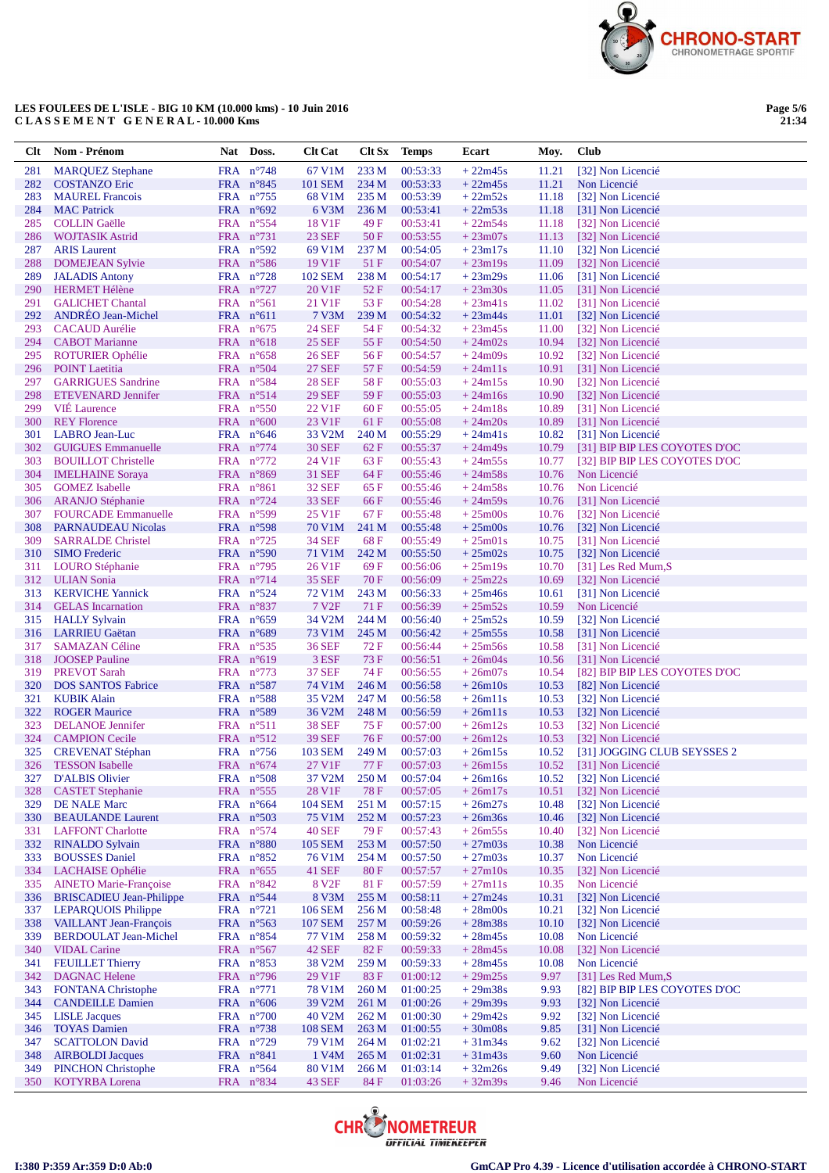

**Page 5/6 21:34**

| <b>Clt</b> | Nom - Prénom                                     | Nat Doss.                                  | <b>Clt Cat</b>                 | Clt Sx                   | <b>Temps</b>         | Ecart                  | Moy.           | <b>Club</b>                            |
|------------|--------------------------------------------------|--------------------------------------------|--------------------------------|--------------------------|----------------------|------------------------|----------------|----------------------------------------|
| 281        | <b>MARQUEZ Stephane</b>                          | FRA n°748                                  | 67 V1M                         | 233 M                    | 00:53:33             | $+22m45s$              | 11.21          | [32] Non Licencié                      |
| 282        | <b>COSTANZO Eric</b>                             | FRA n°845                                  | <b>101 SEM</b>                 | 234 M                    | 00:53:33             | $+22m45s$              | 11.21          | Non Licencié                           |
| 283        | <b>MAUREL Francois</b>                           | FRA $n^{\circ}$ 755                        | 68 V1M                         | 235 M                    | 00:53:39             | $+22m52s$              | 11.18          | [32] Non Licencié                      |
| 284        | <b>MAC</b> Patrick                               | FRA $n^{\circ}692$                         | 6 V3M                          | 236 M                    | 00:53:41             | $+22m53s$              | 11.18          | [31] Non Licencié                      |
| 285        | <b>COLLIN</b> Gaëlle                             | FRA $n^{\circ}554$                         | 18 V1F                         | 49 F                     | 00:53:41             | $+22m54s$<br>$+23m07s$ | 11.18          | [32] Non Licencié                      |
| 286<br>287 | <b>WOJTASIK Astrid</b><br><b>ARIS</b> Laurent    | FRA $n^{\circ}$ 731<br>FRA $n^{\circ}592$  | <b>23 SEF</b><br>69 V1M        | 50 F<br>237 M            | 00:53:55<br>00:54:05 | $+23m17s$              | 11.13<br>11.10 | [32] Non Licencié<br>[32] Non Licencié |
| 288        | <b>DOMEJEAN Sylvie</b>                           | FRA $n^{\circ}586$                         | 19 V1F                         | 51 F                     | 00:54:07             | $+23m19s$              | 11.09          | [32] Non Licencié                      |
| 289        | <b>JALADIS Antony</b>                            | FRA $n^{\circ}$ 728                        | <b>102 SEM</b>                 | 238 M                    | 00:54:17             | $+23m29s$              | 11.06          | [31] Non Licencié                      |
| 290        | <b>HERMET Hélène</b>                             | FRA n°727                                  | 20 V1F                         | 52F                      | 00:54:17             | $+23m30s$              | 11.05          | [31] Non Licencié                      |
| 291        | <b>GALICHET Chantal</b>                          | FRA $n^{\circ}561$                         | 21 V1F                         | 53 F                     | 00:54:28             | $+23m41s$              | 11.02          | [31] Non Licencié                      |
| 292        | <b>ANDREO Jean-Michel</b>                        | FRA $n^{\circ}611$                         | 7 V3M                          | 239 M                    | 00:54:32             | $+23m44s$              | 11.01          | [32] Non Licencié                      |
| 293        | <b>CACAUD</b> Aurélie                            | FRA $n^{\circ}675$                         | <b>24 SEF</b>                  | 54 F                     | 00:54:32             | $+23m45s$              | 11.00          | [32] Non Licencié                      |
| 294        | <b>CABOT</b> Marianne                            | FRA $n^{\circ}618$                         | <b>25 SEF</b>                  | 55 F                     | 00:54:50             | $+24m02s$              | 10.94          | [32] Non Licencié                      |
| 295<br>296 | <b>ROTURIER Ophélie</b><br><b>POINT</b> Laetitia | FRA $n^{\circ}658$<br>FRA $n^{\circ}504$   | <b>26 SEF</b><br><b>27 SEF</b> | 56 F<br>57 F             | 00:54:57<br>00:54:59 | $+24m09s$<br>$+24m11s$ | 10.92<br>10.91 | [32] Non Licencié<br>[31] Non Licencié |
| 297        | <b>GARRIGUES Sandrine</b>                        | FRA $n^{\circ}584$                         | <b>28 SEF</b>                  | 58F                      | 00:55:03             | $+24m15s$              | 10.90          | [32] Non Licencié                      |
| 298        | <b>ETEVENARD Jennifer</b>                        | FRA $n^{\circ}514$                         | <b>29 SEF</b>                  | 59 F                     | 00:55:03             | $+24m16s$              | 10.90          | [32] Non Licencié                      |
| 299        | <b>VIE Laurence</b>                              | FRA $n^{\circ}550$                         | 22 V1F                         | 60 F                     | 00:55:05             | $+24m18s$              | 10.89          | [31] Non Licencié                      |
| 300        | <b>REY Florence</b>                              | FRA $n^{\circ}600$                         | 23 V1F                         | 61 F                     | 00:55:08             | $+24m20s$              | 10.89          | [31] Non Licencié                      |
| 301        | LABRO Jean-Luc                                   | FRA $n^{\circ}646$                         | 33 V2M                         | 240 M                    | 00:55:29             | $+24m41s$              | 10.82          | [31] Non Licencié                      |
| 302        | <b>GUIGUES</b> Emmanuelle                        | FRA n°774                                  | <b>30 SEF</b>                  | 62 F                     | 00:55:37             | $+24m49s$              | 10.79          | [31] BIP BIP LES COYOTES D'OC          |
| 303        | <b>BOUILLOT</b> Christelle                       | FRA n°772                                  | 24 V1F                         | 63 F                     | 00:55:43             | $+24m55s$              | 10.77          | [32] BIP BIP LES COYOTES D'OC          |
| 304<br>305 | <b>IMELHAINE</b> Soraya<br><b>GOMEZ</b> Isabelle | FRA $n^{\circ}869$<br>FRA $n^{\circ}861$   | <b>31 SEF</b><br><b>32 SEF</b> | 64 F<br>65 F             | 00:55:46<br>00:55:46 | $+24m58s$<br>$+24m58s$ | 10.76<br>10.76 | Non Licencié<br>Non Licencié           |
| 306        | <b>ARANJO Stéphanie</b>                          | FRA $n^{\circ}$ 724                        | <b>33 SEF</b>                  | 66 F                     | 00:55:46             | $+24m59s$              | 10.76          | [31] Non Licencié                      |
| 307        | <b>FOURCADE</b> Emmanuelle                       | FRA n°599                                  | 25 V1F                         | 67 F                     | 00:55:48             | $+25 \text{m}$ 00s     | 10.76          | [32] Non Licencié                      |
| 308        | PARNAUDEAU Nicolas                               | FRA $n^{\circ}598$                         | 70 V1M                         | 241 M                    | 00:55:48             | $+25 \text{m}$ 00s     | 10.76          | [32] Non Licencié                      |
| 309        | <b>SARRALDE Christel</b>                         | FRA $n^{\circ}$ 725                        | <b>34 SEF</b>                  | 68F                      | 00:55:49             | $+25m01s$              | 10.75          | [31] Non Licencié                      |
| 310        | <b>SIMO</b> Frederic                             | FRA $n^{\circ}590$                         | 71 V1M                         | 242 M                    | 00:55:50             | $+25m02s$              | 10.75          | [32] Non Licencié                      |
| 311        | LOURO Stéphanie                                  | FRA $n^{\circ}$ 795                        | 26 V1F                         | 69 F                     | 00:56:06             | $+25m19s$              | 10.70          | [31] Les Red Mum,S                     |
| 312        | <b>ULIAN Sonia</b>                               | FRA $n^{\circ}$ 714                        | <b>35 SEF</b>                  | 70 F                     | 00:56:09             | $+25m22s$              | 10.69          | [32] Non Licencié                      |
| 313        | <b>KERVICHE Yannick</b>                          | FRA $n^{\circ}524$                         | 72 V1M                         | 243 M                    | 00:56:33             | $+25m46s$              | 10.61          | [31] Non Licencié                      |
| 314<br>315 | <b>GELAS</b> Incarnation<br><b>HALLY Sylvain</b> | FRA $n^{\circ}837$<br>FRA $n^{\circ}659$   | 7 V <sub>2F</sub><br>34 V2M    | 71 F<br>244 M            | 00:56:39<br>00:56:40 | $+25m52s$<br>$+25m52s$ | 10.59<br>10.59 | Non Licencié<br>[32] Non Licencié      |
| 316        | <b>LARRIEU Gaëtan</b>                            | FRA $n^{\circ}689$                         | 73 V1M                         | 245 M                    | 00:56:42             | $+25m55s$              | 10.58          | [31] Non Licencié                      |
| 317        | <b>SAMAZAN Céline</b>                            | FRA $n^{\circ}$ 535                        | 36 SEF                         | 72 F                     | 00:56:44             | $+25m56s$              | 10.58          | [31] Non Licencié                      |
| 318        | <b>JOOSEP</b> Pauline                            | FRA $n^{\circ}619$                         | 3 ESF                          | 73 F                     | 00:56:51             | $+26m04s$              | 10.56          | [31] Non Licencié                      |
| 319        | <b>PREVOT Sarah</b>                              | FRA $n^{\circ}773$                         | <b>37 SEF</b>                  | 74 F                     | 00:56:55             | $+26m07s$              | 10.54          | [82] BIP BIP LES COYOTES D'OC          |
| 320        | <b>DOS SANTOS Fabrice</b>                        | FRA n°587                                  | 74 V1M                         | 246 M                    | 00:56:58             | $+26m10s$              | 10.53          | [82] Non Licencié                      |
| 321        | <b>KUBIK Alain</b>                               | FRA $n^{\circ}588$                         | 35 V2M                         | 247 M                    | 00:56:58             | $+26m11s$              | 10.53          | [32] Non Licencié                      |
| 322        | <b>ROGER Maurice</b>                             | FRA n°589                                  | 36 V <sub>2</sub> M            | 248 M                    | 00:56:59             | $+26m11s$              | 10.53          | [32] Non Licencié                      |
| 323<br>324 | <b>DELANOE</b> Jennifer<br><b>CAMPION Cecile</b> | $FRA$ $n^{\circ}511$<br>FRA $n^{\circ}512$ | <b>38 SEF</b><br><b>39 SEF</b> | 75 F<br>76 F             | 00:57:00<br>00:57:00 | $+26m12s$<br>$+26m12s$ | 10.53<br>10.53 | [32] Non Licencié<br>[32] Non Licencié |
| 325        | <b>CREVENAT Stéphan</b>                          | FRA n°756                                  | <b>103 SEM</b>                 | 249 M                    | 00:57:03             | $+26m15s$              | 10.52          | [31] JOGGING CLUB SEYSSES 2            |
|            | 326 TESSON Isabelle                              | $FRA$ n°674                                | 27 V1F                         | 77 F                     | 00:57:03             | $+26m15s$              |                | 10.52 [31] Non Licencié                |
| 327        | <b>D'ALBIS Olivier</b>                           | FRA $n^{\circ}508$                         | 37 V2M                         | 250 M                    | 00:57:04             | $+26m16s$              | 10.52          | [32] Non Licencié                      |
| 328        | <b>CASTET Stephanie</b>                          | FRA n°555                                  | 28 V1F                         | <b>78 F</b>              | 00:57:05             | $+26m17s$              | 10.51          | [32] Non Licencié                      |
| 329        | <b>DE NALE Marc</b>                              | FRA $n^{\circ}664$                         | 104 SEM                        | 251 M                    | 00:57:15             | $+26m27s$              | 10.48          | [32] Non Licencié                      |
| 330        | <b>BEAULANDE Laurent</b>                         | FRA n°503                                  | 75 V1M                         | 252 M                    | 00:57:23             | $+26m36s$              | 10.46          | [32] Non Licencié                      |
| 331        | <b>LAFFONT Charlotte</b>                         | $FRA$ n°574                                | <b>40 SEF</b>                  | 79 F                     | 00:57:43             | $+26m55s$              | 10.40          | [32] Non Licencié                      |
| 332<br>333 | <b>RINALDO Sylvain</b><br><b>BOUSSES</b> Daniel  | FRA n°880<br>FRA n°852                     | <b>105 SEM</b><br>76 V1M       | 253 M<br>254 M           | 00:57:50<br>00:57:50 | $+27m03s$<br>$+27m03s$ | 10.38<br>10.37 | Non Licencié<br>Non Licencié           |
| 334        | LACHAISE Ophélie                                 | FRA $n^{\circ}655$                         | <b>41 SEF</b>                  | 80F                      | 00:57:57             | $+27m10s$              | 10.35          | [32] Non Licencié                      |
| 335        | <b>AINETO Marie-Françoise</b>                    | FRA $n^{\circ}842$                         | 8 V <sub>2F</sub>              | 81 F                     | 00:57:59             | $+27m11s$              | 10.35          | Non Licencié                           |
| 336        | <b>BRISCADIEU</b> Jean-Philippe                  | FRA n°544                                  | 8 V3M                          | 255 M                    | 00:58:11             | $+27m24s$              | 10.31          | [32] Non Licencié                      |
| 337        | <b>LEPARQUOIS Philippe</b>                       | FRA n°721                                  | <b>106 SEM</b>                 | 256 M                    | 00:58:48             | $+28m00s$              | 10.21          | [32] Non Licencié                      |
| 338        | <b>VAILLANT Jean-François</b>                    | FRA n°563                                  | <b>107 SEM</b>                 | 257 M                    | 00:59:26             | $+28m38s$              | 10.10          | [32] Non Licencié                      |
| 339        | <b>BERDOULAT Jean-Michel</b>                     | FRA n°854                                  | 77 V1M                         | 258 M                    | 00:59:32             | $+28m45s$              | 10.08          | Non Licencié                           |
| 340        | <b>VIDAL Carine</b>                              | FRA n°567                                  | <b>42 SEF</b>                  | 82 F                     | 00:59:33             | $+28m45s$              | 10.08          | [32] Non Licencié                      |
| 341<br>342 | <b>FEUILLET Thierry</b><br><b>DAGNAC Helene</b>  | FRA $n^{\circ}853$                         | 38 V <sub>2</sub> M<br>29 V1F  | 259 M                    | 00:59:33             | $+28m45s$              | 10.08          | Non Licencié<br>[31] Les Red Mum, S    |
| 343        | <b>FONTANA</b> Christophe                        | FRA n°796<br>FRA $n^{\circ}771$            | 78 V1M                         | 83 F<br>260 <sub>M</sub> | 01:00:12<br>01:00:25 | $+29m25s$<br>$+29m38s$ | 9.97<br>9.93   | [82] BIP BIP LES COYOTES D'OC          |
| 344        | <b>CANDEILLE Damien</b>                          | FRA $n^{\circ}606$                         | 39 V <sub>2</sub> M            | 261 M                    | 01:00:26             | $+29m39s$              | 9.93           | [32] Non Licencié                      |
| 345        | <b>LISLE</b> Jacques                             | FRA $n^{\circ}700$                         | 40 V2M                         | 262M                     | 01:00:30             | $+29m42s$              | 9.92           | [32] Non Licencié                      |
| 346        | <b>TOYAS Damien</b>                              | FRA n°738                                  | 108 SEM                        | 263 M                    | 01:00:55             | $+30m08s$              | 9.85           | [31] Non Licencié                      |
| 347        | <b>SCATTOLON David</b>                           | FRA n°729                                  | 79 V1M                         | 264 M                    | 01:02:21             | $+31m34s$              | 9.62           | [32] Non Licencié                      |
| 348        | <b>AIRBOLDI</b> Jacques                          | FRA n°841                                  | 1 V4M                          | 265 M                    | 01:02:31             | $+31m43s$              | 9.60           | Non Licencié                           |
| 349        | <b>PINCHON Christophe</b>                        | FRA $n^{\circ}$ 564                        | 80 V1M                         | 266 M                    | 01:03:14             | $+32m26s$              | 9.49           | [32] Non Licencié                      |
| 350        | KOTYRBA Lorena                                   | FRA n°834                                  | <b>43 SEF</b>                  | 84 F                     | 01:03:26             | $+32m39s$              | 9.46           | Non Licencié                           |